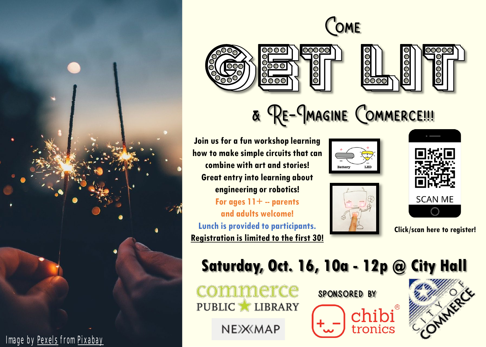

 $\frac{1}{200000}$ 







**Join us for a fun workshop learning how to make simple circuits that can combine with art and stories! Great entry into learning about engineering or robotics!** 

 $0000$ 

8<mark>500</mark>

**For ages 11+ -- parents and adults welcome! Lunch is provided to participants. Registration is limited to the first 30!** 





**Click/scan here to register!**

### **Saturday, Oct. 16, 10a - 12p @ City Hall**

commerce PUBLIC LIBRARY

NEXXMAP







Image by [Pexels](https://pixabay.com/users/pexels-2286921/?utm_source=link-attribution&utm_medium=referral&utm_campaign=image&utm_content=1845065) from [Pixabay](https://pixabay.com/?utm_source=link-attribution&utm_medium=referral&utm_campaign=image&utm_content=1845065)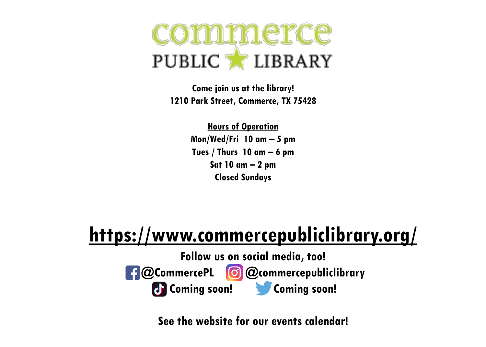## commerce PUBLIC LIBRARY

**Come join us at the library! 1210 Park Street, Commerce, TX 75428**

> **Hours of Operation Mon/Wed/Fri 10 am – 5 pm Tues / Thurs 10 am – 6 pm Sat 10 am – 2 pm Closed Sundays**

### **<https://www.commercepubliclibrary.org/>**

**Follow us on social media, too! @CommercePL @commercepubliclibrary Coming soon! Coming soon!**

**See the website for our events calendar!**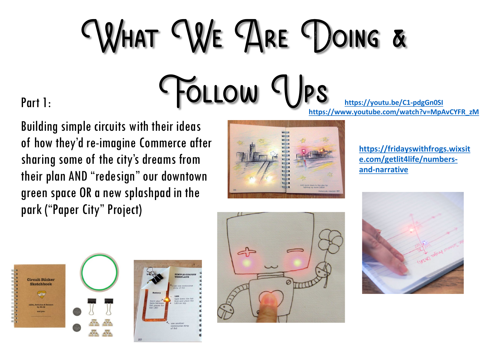# WHAT WE ARE DOING & Follow Ups **<https://youtu.be/C1-pdgGn0SI>**

Part 1:

Building simple circuits with their ideas of how they'd re-imagine Commerce after sharing some of the city's dreams from their plan AND "redesign" our downtown green space OR a new splashpad in the park ("Paper City" Project)



**[https://www.youtube.com/watch?v=MpAvCYFR\\_zM](https://www.youtube.com/watch?v=MpAvCYFR_zM)**

**[https://fridayswithfrogs.wixsit](https://fridayswithfrogs.wixsite.com/getlit4life/numbers-and-narrative) e.com/getlit4life/numbersand-narrative**





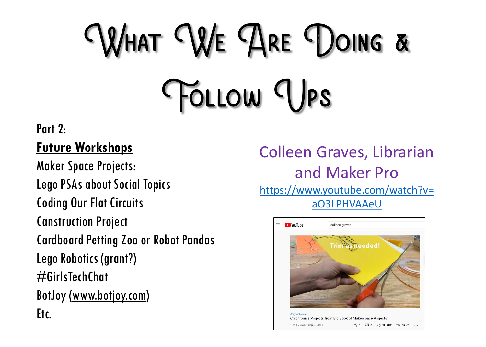## What We Are Doing & FOLLOW UPS

#### Part 2:

#### **Future Workshops**

Maker Space Projects: Lego PSAs about Social Topics Coding Our Flat Circuits Canstruction Project Cardboard Petting Zoo or Robot Pandas Lego Robotics (grant?) #GirlsTechChat BotJoy ([www.botjoy.com\)](http://www.botjoy.com/) Etc.

Colleen Graves, Librarian and Maker Pro [https://www.youtube.com/watch?v=](https://www.youtube.com/watch?v=aO3LPHVAAeU) aO3LPHVAAeU